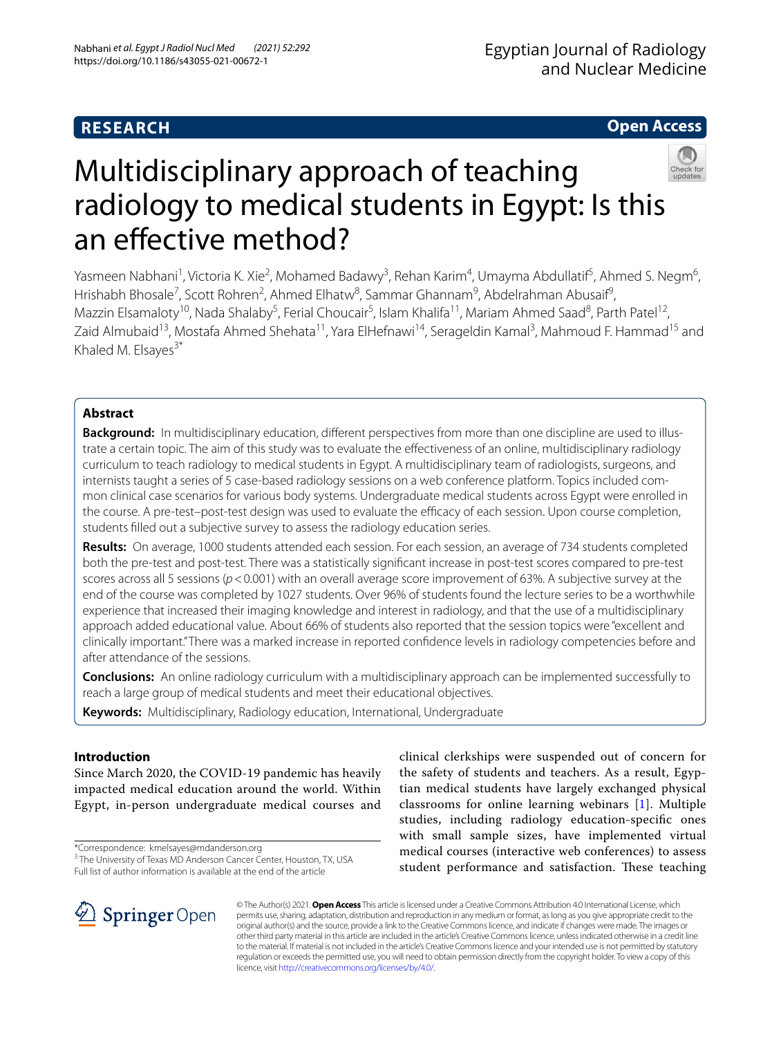# **RESEARCH**

**Open Access**

# Multidisciplinary approach of teaching radiology to medical students in Egypt: Is this an efective method?

Yasmeen Nabhani<sup>1</sup>, Victoria K. Xie<sup>2</sup>, Mohamed Badawy<sup>3</sup>, Rehan Karim<sup>4</sup>, Umayma Abdullatif<sup>5</sup>, Ahmed S. Negm<sup>6</sup>, Hrishabh Bhosale<sup>7</sup>, Scott Rohren<sup>2</sup>, Ahmed Elhatw<sup>8</sup>, Sammar Ghannam<sup>9</sup>, Abdelrahman Abusaif<sup>9</sup>, Mazzin Elsamaloty<sup>10</sup>, Nada Shalaby<sup>5</sup>, Ferial Choucair<sup>5</sup>, Islam Khalifa<sup>11</sup>, Mariam Ahmed Saad<sup>8</sup>, Parth Patel<sup>12</sup>, Zaid Almubaid<sup>13</sup>, Mostafa Ahmed Shehata<sup>11</sup>, Yara ElHefnawi<sup>14</sup>, Serageldin Kamal<sup>3</sup>, Mahmoud F. Hammad<sup>15</sup> and Khaled M. Elsayes<sup>3\*</sup>

# **Abstract**

**Background:** In multidisciplinary education, diferent perspectives from more than one discipline are used to illustrate a certain topic. The aim of this study was to evaluate the efectiveness of an online, multidisciplinary radiology curriculum to teach radiology to medical students in Egypt. A multidisciplinary team of radiologists, surgeons, and internists taught a series of 5 case-based radiology sessions on a web conference platform. Topics included common clinical case scenarios for various body systems. Undergraduate medical students across Egypt were enrolled in the course. A pre-test-post-test design was used to evaluate the efficacy of each session. Upon course completion, students flled out a subjective survey to assess the radiology education series.

**Results:** On average, 1000 students attended each session. For each session, an average of 734 students completed both the pre-test and post-test. There was a statistically signifcant increase in post-test scores compared to pre-test scores across all 5 sessions ( $p$ <0.001) with an overall average score improvement of 63%. A subjective survey at the end of the course was completed by 1027 students. Over 96% of students found the lecture series to be a worthwhile experience that increased their imaging knowledge and interest in radiology, and that the use of a multidisciplinary approach added educational value. About 66% of students also reported that the session topics were "excellent and clinically important." There was a marked increase in reported confdence levels in radiology competencies before and after attendance of the sessions.

**Conclusions:** An online radiology curriculum with a multidisciplinary approach can be implemented successfully to reach a large group of medical students and meet their educational objectives.

**Keywords:** Multidisciplinary, Radiology education, International, Undergraduate

# **Introduction**

Since March 2020, the COVID-19 pandemic has heavily impacted medical education around the world. Within Egypt, in-person undergraduate medical courses and

\*Correspondence: kmelsayes@mdanderson.org

<sup>3</sup> The University of Texas MD Anderson Cancer Center, Houston, TX, USA Full list of author information is available at the end of the article

clinical clerkships were suspended out of concern for the safety of students and teachers. As a result, Egyptian medical students have largely exchanged physical classrooms for online learning webinars [\[1\]](#page-5-0). Multiple studies, including radiology education-specifc ones with small sample sizes, have implemented virtual medical courses (interactive web conferences) to assess student performance and satisfaction. These teaching



© The Author(s) 2021. **Open Access** This article is licensed under a Creative Commons Attribution 4.0 International License, which permits use, sharing, adaptation, distribution and reproduction in any medium or format, as long as you give appropriate credit to the original author(s) and the source, provide a link to the Creative Commons licence, and indicate if changes were made. The images or other third party material in this article are included in the article's Creative Commons licence, unless indicated otherwise in a credit line to the material. If material is not included in the article's Creative Commons licence and your intended use is not permitted by statutory regulation or exceeds the permitted use, you will need to obtain permission directly from the copyright holder. To view a copy of this licence, visit [http://creativecommons.org/licenses/by/4.0/.](http://creativecommons.org/licenses/by/4.0/)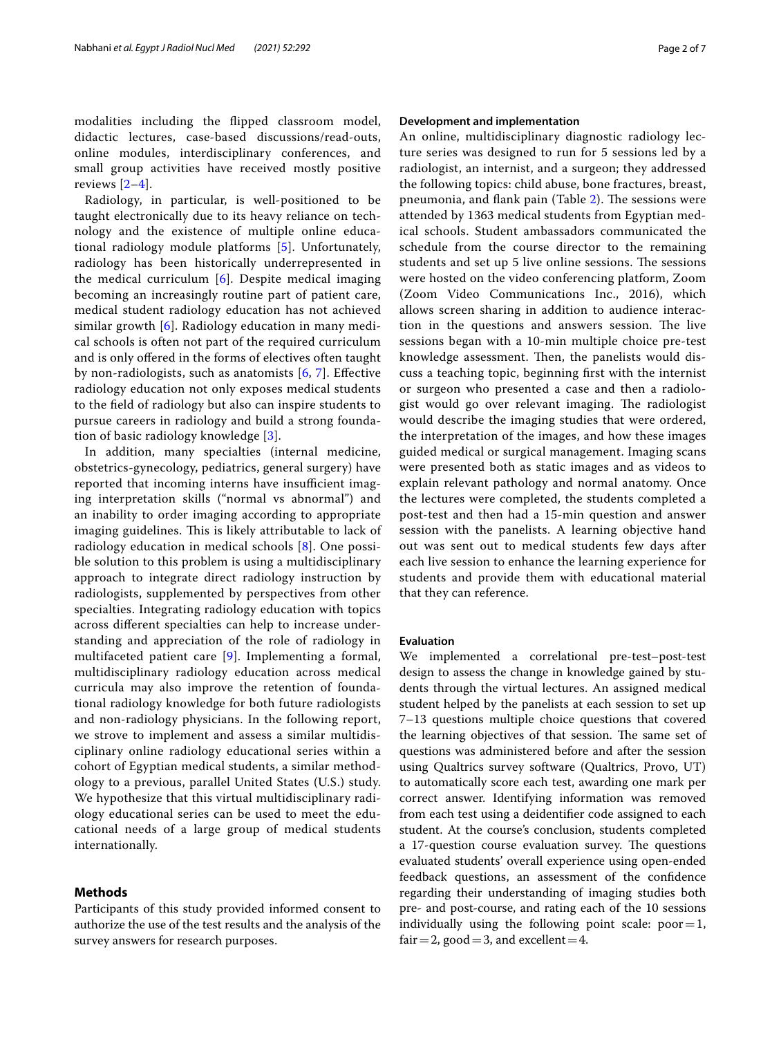Radiology, in particular, is well-positioned to be taught electronically due to its heavy reliance on technology and the existence of multiple online educational radiology module platforms [\[5](#page-5-3)]. Unfortunately, radiology has been historically underrepresented in the medical curriculum [\[6](#page-5-4)]. Despite medical imaging becoming an increasingly routine part of patient care, medical student radiology education has not achieved similar growth [[6](#page-5-4)]. Radiology education in many medical schools is often not part of the required curriculum and is only ofered in the forms of electives often taught by non-radiologists, such as anatomists  $[6, 7]$  $[6, 7]$  $[6, 7]$ . Effective radiology education not only exposes medical students to the feld of radiology but also can inspire students to pursue careers in radiology and build a strong foundation of basic radiology knowledge [[3\]](#page-5-6).

In addition, many specialties (internal medicine, obstetrics-gynecology, pediatrics, general surgery) have reported that incoming interns have insufficient imaging interpretation skills ("normal vs abnormal") and an inability to order imaging according to appropriate imaging guidelines. This is likely attributable to lack of radiology education in medical schools [\[8](#page-5-7)]. One possible solution to this problem is using a multidisciplinary approach to integrate direct radiology instruction by radiologists, supplemented by perspectives from other specialties. Integrating radiology education with topics across diferent specialties can help to increase understanding and appreciation of the role of radiology in multifaceted patient care [[9\]](#page-6-0). Implementing a formal, multidisciplinary radiology education across medical curricula may also improve the retention of foundational radiology knowledge for both future radiologists and non-radiology physicians. In the following report, we strove to implement and assess a similar multidisciplinary online radiology educational series within a cohort of Egyptian medical students, a similar methodology to a previous, parallel United States (U.S.) study. We hypothesize that this virtual multidisciplinary radiology educational series can be used to meet the educational needs of a large group of medical students internationally.

## **Methods**

Participants of this study provided informed consent to authorize the use of the test results and the analysis of the survey answers for research purposes.

#### **Development and implementation**

An online, multidisciplinary diagnostic radiology lecture series was designed to run for 5 sessions led by a radiologist, an internist, and a surgeon; they addressed the following topics: child abuse, bone fractures, breast, pneumonia, and flank pain (Table  $2$ ). The sessions were attended by 1363 medical students from Egyptian medical schools. Student ambassadors communicated the schedule from the course director to the remaining students and set up 5 live online sessions. The sessions were hosted on the video conferencing platform, Zoom (Zoom Video Communications Inc., 2016), which allows screen sharing in addition to audience interaction in the questions and answers session. The live sessions began with a 10-min multiple choice pre-test knowledge assessment. Then, the panelists would discuss a teaching topic, beginning frst with the internist or surgeon who presented a case and then a radiologist would go over relevant imaging. The radiologist would describe the imaging studies that were ordered, the interpretation of the images, and how these images guided medical or surgical management. Imaging scans were presented both as static images and as videos to explain relevant pathology and normal anatomy. Once the lectures were completed, the students completed a post-test and then had a 15-min question and answer session with the panelists. A learning objective hand out was sent out to medical students few days after each live session to enhance the learning experience for students and provide them with educational material that they can reference.

#### **Evaluation**

We implemented a correlational pre-test–post-test design to assess the change in knowledge gained by students through the virtual lectures. An assigned medical student helped by the panelists at each session to set up 7–13 questions multiple choice questions that covered the learning objectives of that session. The same set of questions was administered before and after the session using Qualtrics survey software (Qualtrics, Provo, UT) to automatically score each test, awarding one mark per correct answer. Identifying information was removed from each test using a deidentifer code assigned to each student. At the course's conclusion, students completed a 17-question course evaluation survey. The questions evaluated students' overall experience using open-ended feedback questions, an assessment of the confdence regarding their understanding of imaging studies both pre- and post-course, and rating each of the 10 sessions individually using the following point scale:  $poor=1$ , fair = 2, good = 3, and excellent = 4.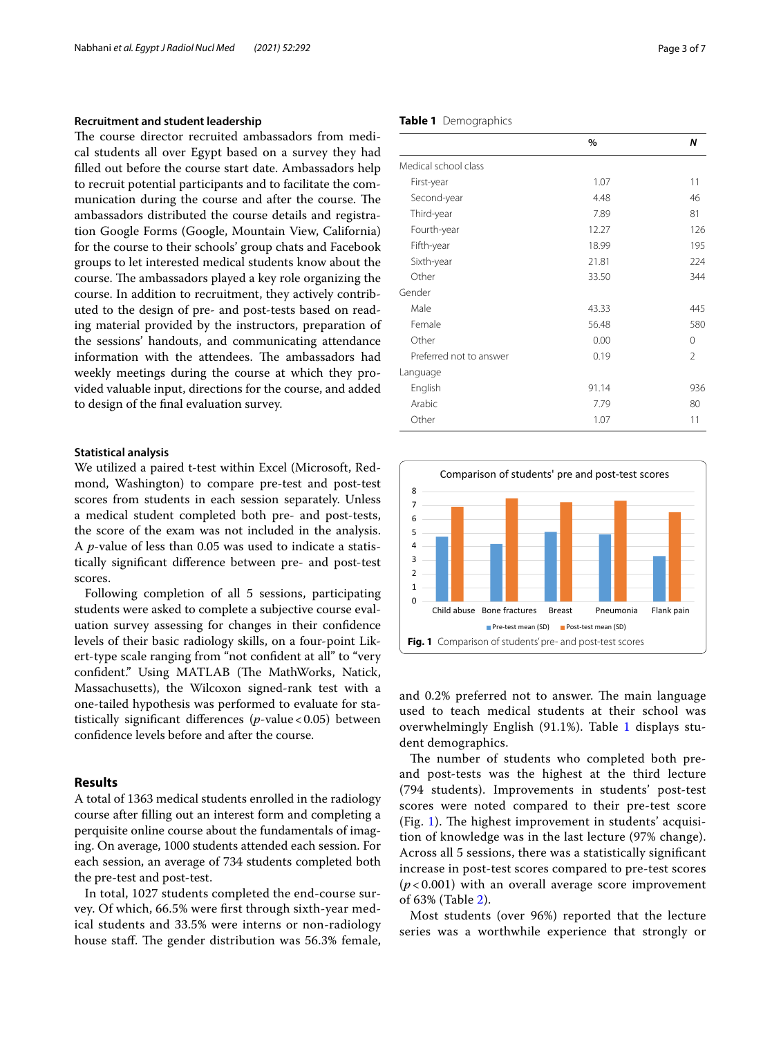#### **Recruitment and student leadership**

The course director recruited ambassadors from medical students all over Egypt based on a survey they had flled out before the course start date. Ambassadors help to recruit potential participants and to facilitate the communication during the course and after the course. The ambassadors distributed the course details and registration Google Forms (Google, Mountain View, California) for the course to their schools' group chats and Facebook groups to let interested medical students know about the course. The ambassadors played a key role organizing the course. In addition to recruitment, they actively contributed to the design of pre- and post-tests based on reading material provided by the instructors, preparation of the sessions' handouts, and communicating attendance information with the attendees. The ambassadors had weekly meetings during the course at which they provided valuable input, directions for the course, and added to design of the fnal evaluation survey.

#### **Statistical analysis**

We utilized a paired t-test within Excel (Microsoft, Redmond, Washington) to compare pre-test and post-test scores from students in each session separately. Unless a medical student completed both pre- and post-tests, the score of the exam was not included in the analysis. A *p*-value of less than 0.05 was used to indicate a statistically signifcant diference between pre- and post-test scores.

Following completion of all 5 sessions, participating students were asked to complete a subjective course evaluation survey assessing for changes in their confdence levels of their basic radiology skills, on a four-point Likert-type scale ranging from "not confdent at all" to "very confident." Using MATLAB (The MathWorks, Natick, Massachusetts), the Wilcoxon signed-rank test with a one-tailed hypothesis was performed to evaluate for statistically significant differences (*p*-value < 0.05) between confdence levels before and after the course.

## **Results**

A total of 1363 medical students enrolled in the radiology course after flling out an interest form and completing a perquisite online course about the fundamentals of imaging. On average, 1000 students attended each session. For each session, an average of 734 students completed both the pre-test and post-test.

In total, 1027 students completed the end-course survey. Of which, 66.5% were frst through sixth-year medical students and 33.5% were interns or non-radiology house staff. The gender distribution was 56.3% female,

### <span id="page-2-0"></span>**Table 1** Demographics

|                         | $\%$  | N              |
|-------------------------|-------|----------------|
| Medical school class    |       |                |
| First-year              | 1.07  | 11             |
| Second-year             | 4.48  | 46             |
| Third-year              | 7.89  | 81             |
| Fourth-year             | 12.27 | 126            |
| Fifth-year              | 18.99 | 195            |
| Sixth-year              | 21.81 | 224            |
| Other                   | 33.50 | 344            |
| Gender                  |       |                |
| Male                    | 43.33 | 445            |
| Female                  | 56.48 | 580            |
| Other                   | 0.00  | $\mathbf 0$    |
| Preferred not to answer | 0.19  | $\overline{2}$ |
| Language                |       |                |
| English                 | 91.14 | 936            |
| Arabic                  | 7.79  | 80             |
| Other                   | 1.07  | 11             |



<span id="page-2-1"></span>and 0.2% preferred not to answer. The main language used to teach medical students at their school was overwhelmingly English (91.1%). Table [1](#page-2-0) displays student demographics.

The number of students who completed both preand post-tests was the highest at the third lecture (794 students). Improvements in students' post-test scores were noted compared to their pre-test score (Fig. [1\)](#page-2-1). The highest improvement in students' acquisition of knowledge was in the last lecture (97% change). Across all 5 sessions, there was a statistically signifcant increase in post-test scores compared to pre-test scores (*p* < 0.001) with an overall average score improvement of 63% (Table [2\)](#page-3-0).

Most students (over 96%) reported that the lecture series was a worthwhile experience that strongly or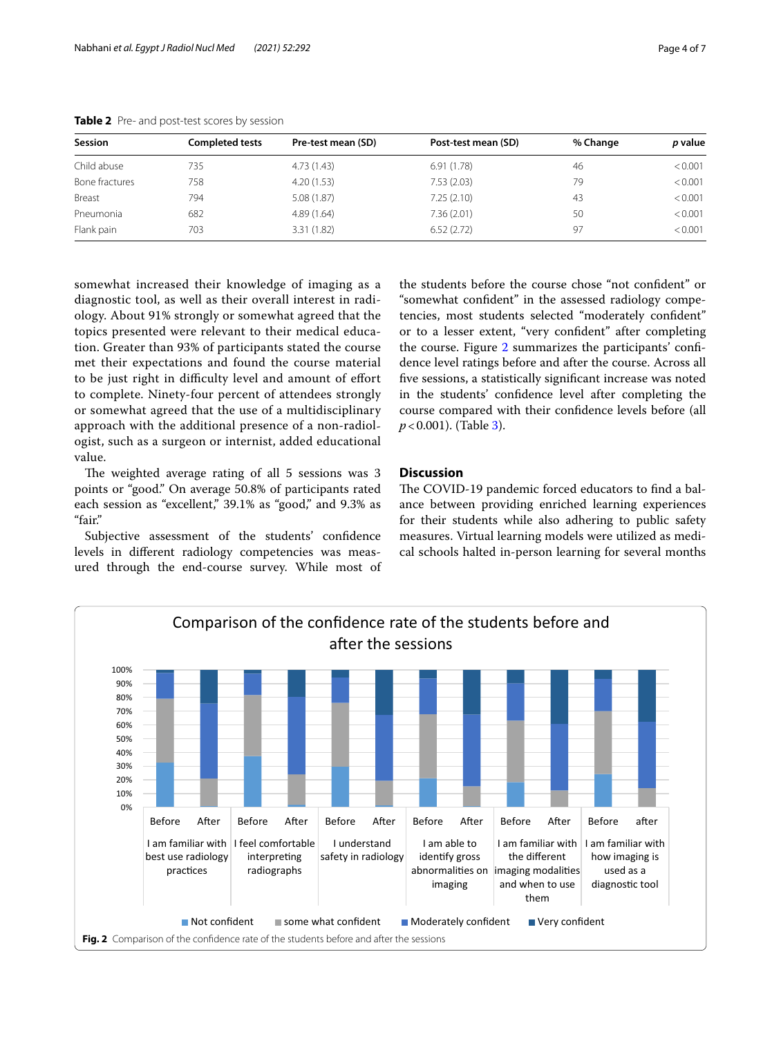| <b>Session</b> | <b>Completed tests</b> | Pre-test mean (SD) | Post-test mean (SD) | % Change | p value |
|----------------|------------------------|--------------------|---------------------|----------|---------|
| Child abuse    | 735                    | 4.73(1.43)         | 6.91(1.78)          | 46       | < 0.001 |
| Bone fractures | 758                    | 4.20(1.53)         | 7.53(2.03)          | 79       | < 0.001 |
| Breast         | 794                    | 5.08(1.87)         | 7.25(2.10)          | 43       | < 0.001 |
| Pneumonia      | 682                    | 4.89(1.64)         | 7.36 (2.01)         | 50       | < 0.001 |
| Flank pain     | 703                    | 3.31 (1.82)        | 6.52(2.72)          | 97       | < 0.001 |

<span id="page-3-0"></span>**Table 2** Pre- and post-test scores by session

somewhat increased their knowledge of imaging as a diagnostic tool, as well as their overall interest in radiology. About 91% strongly or somewhat agreed that the topics presented were relevant to their medical education. Greater than 93% of participants stated the course met their expectations and found the course material to be just right in difficulty level and amount of effort to complete. Ninety-four percent of attendees strongly or somewhat agreed that the use of a multidisciplinary approach with the additional presence of a non-radiologist, such as a surgeon or internist, added educational value.

The weighted average rating of all 5 sessions was 3 points or "good." On average 50.8% of participants rated each session as "excellent," 39.1% as "good," and 9.3% as "fair."

Subjective assessment of the students' confidence levels in diferent radiology competencies was measured through the end-course survey. While most of

the students before the course chose "not confdent" or "somewhat confdent" in the assessed radiology competencies, most students selected "moderately confdent" or to a lesser extent, "very confdent" after completing the course. Figure [2](#page-3-1) summarizes the participants' confdence level ratings before and after the course. Across all fve sessions, a statistically signifcant increase was noted in the students' confdence level after completing the course compared with their confdence levels before (all *p*<0.001). (Table [3](#page-4-0)).

## **Discussion**

The COVID-19 pandemic forced educators to find a balance between providing enriched learning experiences for their students while also adhering to public safety measures. Virtual learning models were utilized as medical schools halted in-person learning for several months

<span id="page-3-1"></span>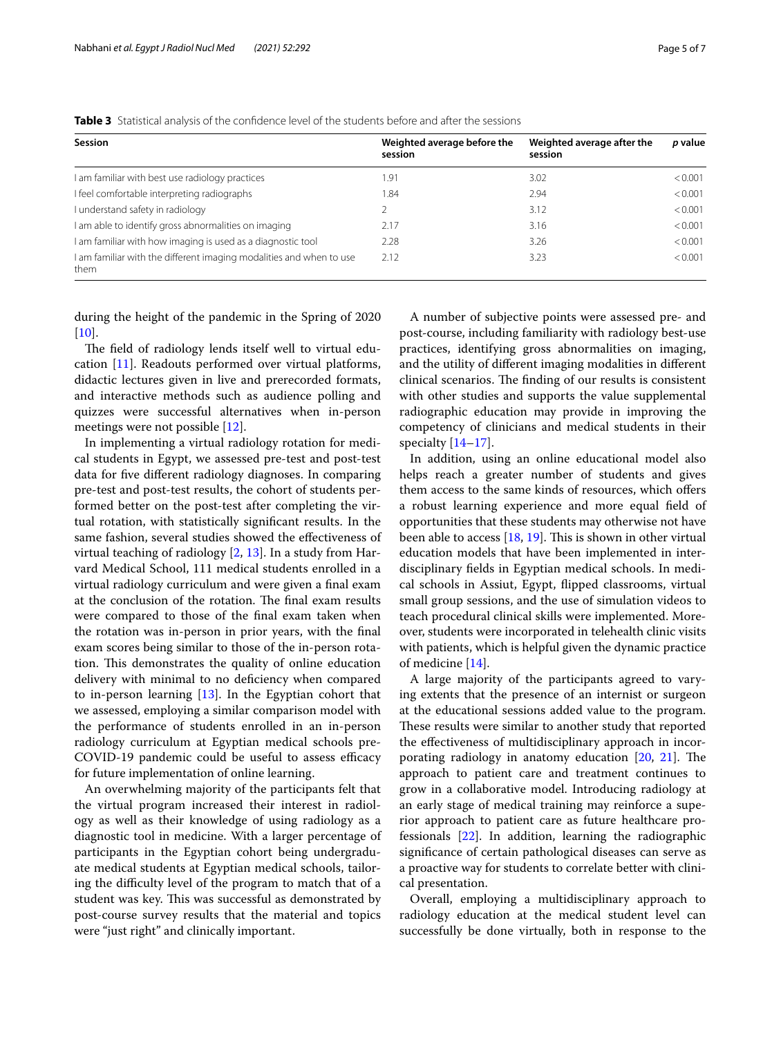<span id="page-4-0"></span>**Table 3** Statistical analysis of the confdence level of the students before and after the sessions

| Session                                                                     | Weighted average before the<br>session | Weighted average after the<br>session | p value |
|-----------------------------------------------------------------------------|----------------------------------------|---------------------------------------|---------|
| am familiar with best use radiology practices                               | 1.91                                   | 3.02                                  | < 0.001 |
| I feel comfortable interpreting radiographs                                 | 1.84                                   | 2.94                                  | < 0.001 |
| I understand safety in radiology                                            |                                        | 3.12                                  | < 0.001 |
| I am able to identify gross abnormalities on imaging                        | 2.17                                   | 3.16                                  | < 0.001 |
| I am familiar with how imaging is used as a diagnostic tool                 | 2.28                                   | 3.26                                  | < 0.001 |
| I am familiar with the different imaging modalities and when to use<br>them | 2.12                                   | 3.23                                  | < 0.001 |

during the height of the pandemic in the Spring of 2020  $[10]$  $[10]$ .

The field of radiology lends itself well to virtual education [[11\]](#page-6-2). Readouts performed over virtual platforms, didactic lectures given in live and prerecorded formats, and interactive methods such as audience polling and quizzes were successful alternatives when in-person meetings were not possible [[12\]](#page-6-3).

In implementing a virtual radiology rotation for medical students in Egypt, we assessed pre-test and post-test data for fve diferent radiology diagnoses. In comparing pre-test and post-test results, the cohort of students performed better on the post-test after completing the virtual rotation, with statistically signifcant results. In the same fashion, several studies showed the effectiveness of virtual teaching of radiology [\[2](#page-5-1), [13\]](#page-6-4). In a study from Harvard Medical School, 111 medical students enrolled in a virtual radiology curriculum and were given a fnal exam at the conclusion of the rotation. The final exam results were compared to those of the fnal exam taken when the rotation was in-person in prior years, with the fnal exam scores being similar to those of the in-person rotation. This demonstrates the quality of online education delivery with minimal to no defciency when compared to in-person learning [[13\]](#page-6-4). In the Egyptian cohort that we assessed, employing a similar comparison model with the performance of students enrolled in an in-person radiology curriculum at Egyptian medical schools pre-COVID-19 pandemic could be useful to assess efficacy for future implementation of online learning.

An overwhelming majority of the participants felt that the virtual program increased their interest in radiology as well as their knowledge of using radiology as a diagnostic tool in medicine. With a larger percentage of participants in the Egyptian cohort being undergraduate medical students at Egyptian medical schools, tailoring the difficulty level of the program to match that of a student was key. This was successful as demonstrated by post-course survey results that the material and topics were "just right" and clinically important.

A number of subjective points were assessed pre- and post-course, including familiarity with radiology best-use practices, identifying gross abnormalities on imaging, and the utility of diferent imaging modalities in diferent clinical scenarios. The finding of our results is consistent with other studies and supports the value supplemental radiographic education may provide in improving the competency of clinicians and medical students in their specialty  $[14-17]$  $[14-17]$ .

In addition, using an online educational model also helps reach a greater number of students and gives them access to the same kinds of resources, which ofers a robust learning experience and more equal feld of opportunities that these students may otherwise not have been able to access  $[18, 19]$  $[18, 19]$  $[18, 19]$ . This is shown in other virtual education models that have been implemented in interdisciplinary felds in Egyptian medical schools. In medical schools in Assiut, Egypt, fipped classrooms, virtual small group sessions, and the use of simulation videos to teach procedural clinical skills were implemented. Moreover, students were incorporated in telehealth clinic visits with patients, which is helpful given the dynamic practice of medicine [\[14](#page-6-5)].

A large majority of the participants agreed to varying extents that the presence of an internist or surgeon at the educational sessions added value to the program. These results were similar to another study that reported the efectiveness of multidisciplinary approach in incorporating radiology in anatomy education  $[20, 21]$  $[20, 21]$  $[20, 21]$  $[20, 21]$ . The approach to patient care and treatment continues to grow in a collaborative model. Introducing radiology at an early stage of medical training may reinforce a superior approach to patient care as future healthcare professionals [\[22](#page-6-11)]. In addition, learning the radiographic signifcance of certain pathological diseases can serve as a proactive way for students to correlate better with clinical presentation.

Overall, employing a multidisciplinary approach to radiology education at the medical student level can successfully be done virtually, both in response to the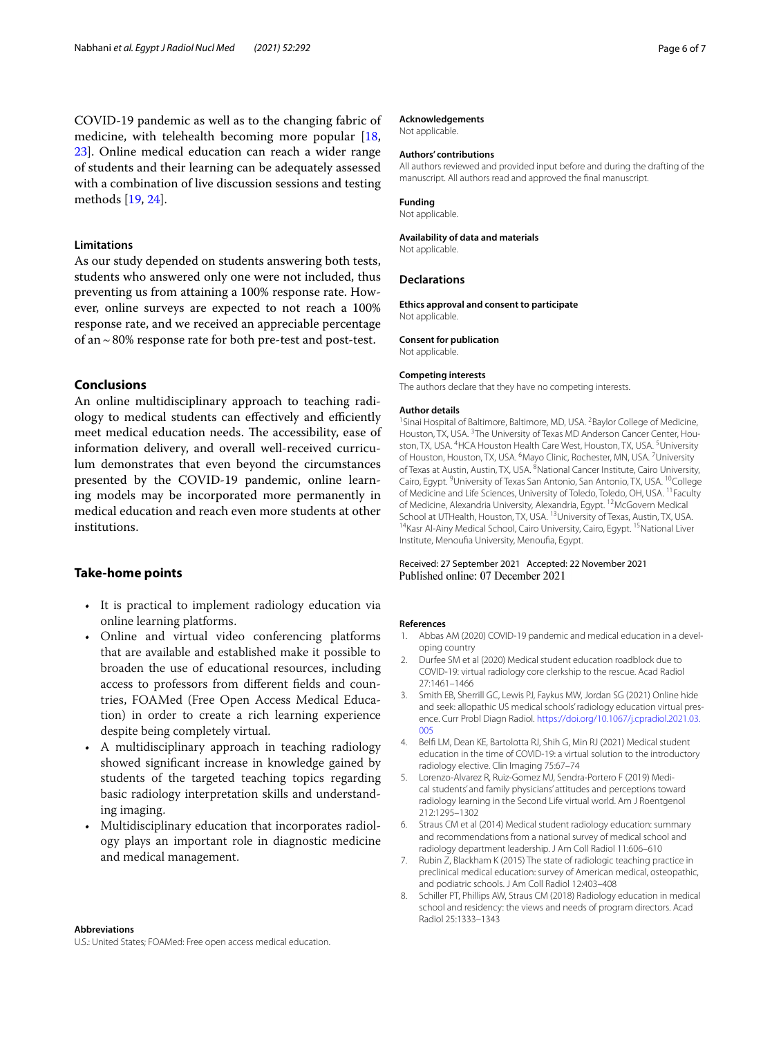COVID-19 pandemic as well as to the changing fabric of medicine, with telehealth becoming more popular [\[18](#page-6-7), [23\]](#page-6-12). Online medical education can reach a wider range of students and their learning can be adequately assessed with a combination of live discussion sessions and testing methods [[19,](#page-6-8) [24](#page-6-13)].

#### **Limitations**

As our study depended on students answering both tests, students who answered only one were not included, thus preventing us from attaining a 100% response rate. However, online surveys are expected to not reach a 100% response rate, and we received an appreciable percentage of an  $\sim$  80% response rate for both pre-test and post-test.

## **Conclusions**

An online multidisciplinary approach to teaching radiology to medical students can effectively and efficiently meet medical education needs. The accessibility, ease of information delivery, and overall well-received curriculum demonstrates that even beyond the circumstances presented by the COVID-19 pandemic, online learning models may be incorporated more permanently in medical education and reach even more students at other institutions.

## **Take‑home points**

- It is practical to implement radiology education via online learning platforms.
- Online and virtual video conferencing platforms that are available and established make it possible to broaden the use of educational resources, including access to professors from diferent felds and countries, FOAMed (Free Open Access Medical Education) in order to create a rich learning experience despite being completely virtual.
- A multidisciplinary approach in teaching radiology showed signifcant increase in knowledge gained by students of the targeted teaching topics regarding basic radiology interpretation skills and understanding imaging.
- Multidisciplinary education that incorporates radiology plays an important role in diagnostic medicine and medical management.

# **Abbreviations**

U.S.: United States; FOAMed: Free open access medical education.

#### **Acknowledgements**

Not applicable.

#### **Authors' contributions**

All authors reviewed and provided input before and during the drafting of the manuscript. All authors read and approved the fnal manuscript.

#### **Funding**

Not applicable.

#### **Availability of data and materials**

Not applicable.

#### **Declarations**

**Ethics approval and consent to participate** Not applicable.

#### **Consent for publication**

Not applicable.

#### **Competing interests**

The authors declare that they have no competing interests.

#### **Author details**

<sup>1</sup> Sinai Hospital of Baltimore, Baltimore, MD, USA. <sup>2</sup> Baylor College of Medicine, Houston, TX, USA.<sup>3</sup> The University of Texas MD Anderson Cancer Center, Houston, TX, USA. <sup>4</sup>HCA Houston Health Care West, Houston, TX, USA. <sup>5</sup>University of Houston, Houston, TX, USA. <sup>6</sup>Mayo Clinic, Rochester, MN, USA. <sup>7</sup>University of Texas at Austin, Austin, TX, USA. <sup>8</sup>National Cancer Institute, Cairo University, Cairo, Egypt. <sup>9</sup>University of Texas San Antonio, San Antonio, TX, USA. <sup>10</sup>College of Medicine and Life Sciences, University of Toledo, Toledo, OH, USA. 11Faculty of Medicine, Alexandria University, Alexandria, Egypt. <sup>12</sup>McGovern Medical<br>School at UTHealth, Houston, TX, USA. <sup>13</sup>University of Texas, Austin, TX, USA. <sup>14</sup> Kasr Al-Ainy Medical School, Cairo University, Cairo, Egypt. <sup>15</sup> National Liver Institute, Menoufa University, Menoufa, Egypt.

Received: 27 September 2021 Accepted: 22 November 2021 Published online: 07 December 2021

#### **References**

- <span id="page-5-0"></span>1. Abbas AM (2020) COVID-19 pandemic and medical education in a developing country
- <span id="page-5-1"></span>2. Durfee SM et al (2020) Medical student education roadblock due to COVID-19: virtual radiology core clerkship to the rescue. Acad Radiol 27:1461–1466
- <span id="page-5-6"></span>3. Smith EB, Sherrill GC, Lewis PJ, Faykus MW, Jordan SG (2021) Online hide and seek: allopathic US medical schools' radiology education virtual presence. Curr Probl Diagn Radiol. [https://doi.org/10.1067/j.cpradiol.2021.03.](https://doi.org/10.1067/j.cpradiol.2021.03.005) [005](https://doi.org/10.1067/j.cpradiol.2021.03.005)
- <span id="page-5-2"></span>4. Belf LM, Dean KE, Bartolotta RJ, Shih G, Min RJ (2021) Medical student education in the time of COVID-19: a virtual solution to the introductory radiology elective. Clin Imaging 75:67–74
- <span id="page-5-3"></span>5. Lorenzo-Alvarez R, Ruiz-Gomez MJ, Sendra-Portero F (2019) Medical students' and family physicians' attitudes and perceptions toward radiology learning in the Second Life virtual world. Am J Roentgenol 212:1295–1302
- <span id="page-5-4"></span>6. Straus CM et al (2014) Medical student radiology education: summary and recommendations from a national survey of medical school and radiology department leadership. J Am Coll Radiol 11:606–610
- <span id="page-5-5"></span>7. Rubin Z, Blackham K (2015) The state of radiologic teaching practice in preclinical medical education: survey of American medical, osteopathic, and podiatric schools. J Am Coll Radiol 12:403–408
- <span id="page-5-7"></span>8. Schiller PT, Phillips AW, Straus CM (2018) Radiology education in medical school and residency: the views and needs of program directors. Acad Radiol 25:1333–1343